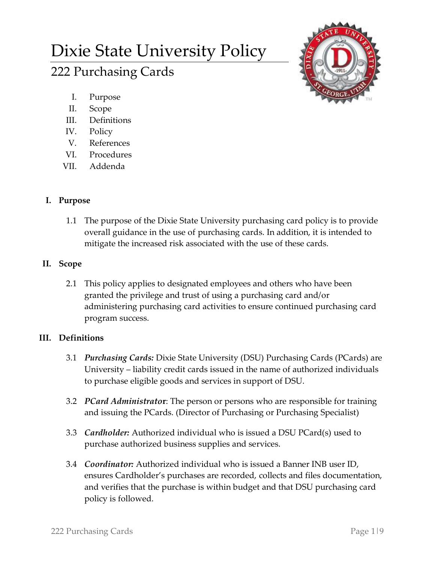# Dixie State University Policy 222 Purchasing Cards



- I. Purpose
- II. Scope
- III. Definitions
- IV. Policy
- V. References
- VI. Procedures
- VII. Addenda

## **I. Purpose**

1.1 The purpose of the Dixie State University purchasing card policy is to provide overall guidance in the use of purchasing cards. In addition, it is intended to mitigate the increased risk associated with the use of these cards.

## **II. Scope**

2.1 This policy applies to designated employees and others who have been granted the privilege and trust of using a purchasing card and/or administering purchasing card activities to ensure continued purchasing card program success.

## **III. Definitions**

- 3.1 *Purchasing Cards:* Dixie State University (DSU) Purchasing Cards (PCards) are University – liability credit cards issued in the name of authorized individuals to purchase eligible goods and services in support of DSU.
- 3.2 *PCard Administrato***r**: The person or persons who are responsible for training and issuing the PCards. (Director of Purchasing or Purchasing Specialist)
- 3.3 *Cardholder:* Authorized individual who is issued a DSU PCard(s) used to purchase authorized business supplies and services.
- 3.4 *Coordinator:* Authorized individual who is issued a Banner INB user ID, ensures Cardholder's purchases are recorded, collects and files documentation, and verifies that the purchase is within budget and that DSU purchasing card policy is followed.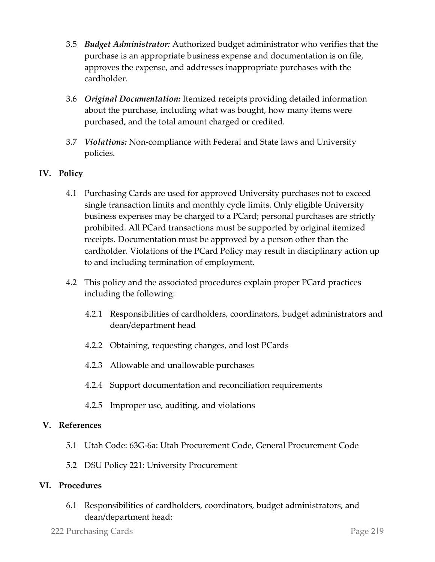- 3.5 *Budget Administrator:* Authorized budget administrator who verifies that the purchase is an appropriate business expense and documentation is on file, approves the expense, and addresses inappropriate purchases with the cardholder.
- 3.6 *Original Documentation:* Itemized receipts providing detailed information about the purchase, including what was bought, how many items were purchased, and the total amount charged or credited.
- 3.7 *Violations:* Non-compliance with Federal and State laws and University policies.

### **IV. Policy**

- 4.1 Purchasing Cards are used for approved University purchases not to exceed single transaction limits and monthly cycle limits. Only eligible University business expenses may be charged to a PCard; personal purchases are strictly prohibited. All PCard transactions must be supported by original itemized receipts. Documentation must be approved by a person other than the cardholder. Violations of the PCard Policy may result in disciplinary action up to and including termination of employment.
- 4.2 This policy and the associated procedures explain proper PCard practices including the following:
	- 4.2.1 Responsibilities of cardholders, coordinators, budget administrators and dean/department head
	- 4.2.2 Obtaining, requesting changes, and lost PCards
	- 4.2.3 Allowable and unallowable purchases
	- 4.2.4 Support documentation and reconciliation requirements
	- 4.2.5 Improper use, auditing, and violations

#### **V. References**

- 5.1 Utah Code: 63G-6a: Utah Procurement Code, General Procurement Code
- 5.2 DSU Policy 221: University Procurement

#### **VI. Procedures**

6.1 Responsibilities of cardholders, coordinators, budget administrators, and dean/department head: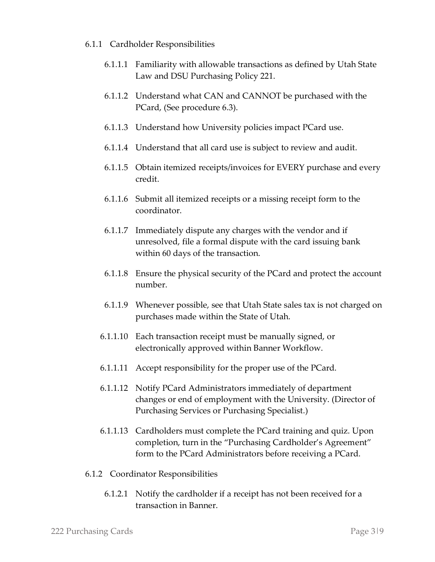- 6.1.1 Cardholder Responsibilities
	- 6.1.1.1 Familiarity with allowable transactions as defined by Utah State Law and DSU Purchasing Policy 221.
	- 6.1.1.2 Understand what CAN and CANNOT be purchased with the PCard, (See procedure 6.3).
	- 6.1.1.3 Understand how University policies impact PCard use.
	- 6.1.1.4 Understand that all card use is subject to review and audit.
	- 6.1.1.5 Obtain itemized receipts/invoices for EVERY purchase and every credit.
	- 6.1.1.6 Submit all itemized receipts or a missing receipt form to the coordinator.
	- 6.1.1.7 Immediately dispute any charges with the vendor and if unresolved, file a formal dispute with the card issuing bank within 60 days of the transaction.
	- 6.1.1.8 Ensure the physical security of the PCard and protect the account number.
	- 6.1.1.9 Whenever possible, see that Utah State sales tax is not charged on purchases made within the State of Utah.
	- 6.1.1.10 Each transaction receipt must be manually signed, or electronically approved within Banner Workflow.
	- 6.1.1.11 Accept responsibility for the proper use of the PCard.
	- 6.1.1.12 Notify PCard Administrators immediately of department changes or end of employment with the University. (Director of Purchasing Services or Purchasing Specialist.)
	- 6.1.1.13 Cardholders must complete the PCard training and quiz. Upon completion, turn in the "Purchasing Cardholder's Agreement" form to the PCard Administrators before receiving a PCard.
- 6.1.2 Coordinator Responsibilities
	- 6.1.2.1 Notify the cardholder if a receipt has not been received for a transaction in Banner.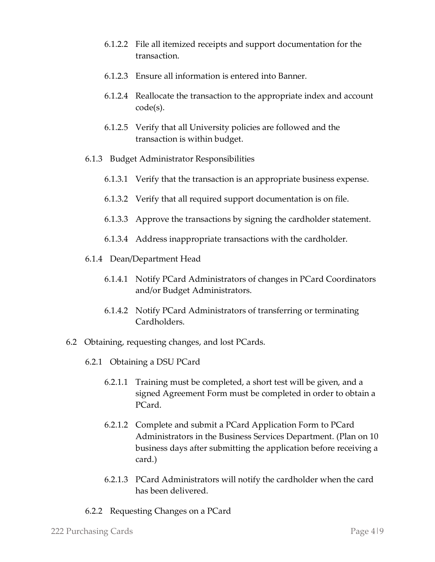- 6.1.2.2 File all itemized receipts and support documentation for the transaction.
- 6.1.2.3 Ensure all information is entered into Banner.
- 6.1.2.4 Reallocate the transaction to the appropriate index and account code(s).
- 6.1.2.5 Verify that all University policies are followed and the transaction is within budget.
- 6.1.3 Budget Administrator Responsibilities
	- 6.1.3.1 Verify that the transaction is an appropriate business expense.
	- 6.1.3.2 Verify that all required support documentation is on file.
	- 6.1.3.3 Approve the transactions by signing the cardholder statement.
	- 6.1.3.4 Address inappropriate transactions with the cardholder.
- 6.1.4 Dean/Department Head
	- 6.1.4.1 Notify PCard Administrators of changes in PCard Coordinators and/or Budget Administrators.
	- 6.1.4.2 Notify PCard Administrators of transferring or terminating Cardholders.
- 6.2 Obtaining, requesting changes, and lost PCards.
	- 6.2.1 Obtaining a DSU PCard
		- 6.2.1.1 Training must be completed, a short test will be given, and a signed Agreement Form must be completed in order to obtain a PCard.
		- 6.2.1.2 Complete and submit a PCard Application Form to PCard Administrators in the Business Services Department. (Plan on 10 business days after submitting the application before receiving a card.)
		- 6.2.1.3 PCard Administrators will notify the cardholder when the card has been delivered.
	- 6.2.2 Requesting Changes on a PCard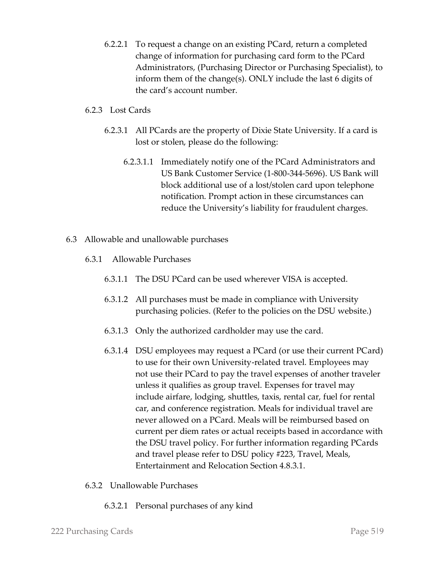6.2.2.1 To request a change on an existing PCard, return a completed change of information for purchasing card form to the PCard Administrators, (Purchasing Director or Purchasing Specialist), to inform them of the change(s). ONLY include the last 6 digits of the card's account number.

#### 6.2.3 Lost Cards

- 6.2.3.1 All PCards are the property of Dixie State University. If a card is lost or stolen, please do the following:
	- 6.2.3.1.1 Immediately notify one of the PCard Administrators and US Bank Customer Service (1-800-344-5696). US Bank will block additional use of a lost/stolen card upon telephone notification. Prompt action in these circumstances can reduce the University's liability for fraudulent charges.
- 6.3 Allowable and unallowable purchases
	- 6.3.1 Allowable Purchases
		- 6.3.1.1 The DSU PCard can be used wherever VISA is accepted.
		- 6.3.1.2 All purchases must be made in compliance with University purchasing policies. (Refer to the policies on the DSU website.)
		- 6.3.1.3 Only the authorized cardholder may use the card.
		- 6.3.1.4 DSU employees may request a PCard (or use their current PCard) to use for their own University-related travel. Employees may not use their PCard to pay the travel expenses of another traveler unless it qualifies as group travel. Expenses for travel may include airfare, lodging, shuttles, taxis, rental car, fuel for rental car, and conference registration. Meals for individual travel are never allowed on a PCard. Meals will be reimbursed based on current per diem rates or actual receipts based in accordance with the DSU travel policy. For further information regarding PCards and travel please refer to DSU policy #223, Travel, Meals, Entertainment and Relocation Section 4.8.3.1.
	- 6.3.2 Unallowable Purchases
		- 6.3.2.1 Personal purchases of any kind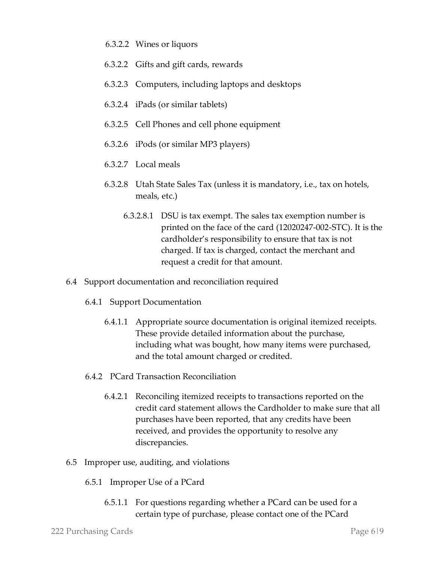- 6.3.2.2 Wines or liquors
- 6.3.2.2 Gifts and gift cards, rewards
- 6.3.2.3 Computers, including laptops and desktops
- 6.3.2.4 iPads (or similar tablets)
- 6.3.2.5 Cell Phones and cell phone equipment
- 6.3.2.6 iPods (or similar MP3 players)
- 6.3.2.7 Local meals
- 6.3.2.8 Utah State Sales Tax (unless it is mandatory, i.e., tax on hotels, meals, etc.)
	- 6.3.2.8.1 DSU is tax exempt. The sales tax exemption number is printed on the face of the card (12020247-002-STC). It is the cardholder's responsibility to ensure that tax is not charged. If tax is charged, contact the merchant and request a credit for that amount.
- 6.4 Support documentation and reconciliation required
	- 6.4.1 Support Documentation
		- 6.4.1.1 Appropriate source documentation is original itemized receipts. These provide detailed information about the purchase, including what was bought, how many items were purchased, and the total amount charged or credited.
	- 6.4.2 PCard Transaction Reconciliation
		- 6.4.2.1 Reconciling itemized receipts to transactions reported on the credit card statement allows the Cardholder to make sure that all purchases have been reported, that any credits have been received, and provides the opportunity to resolve any discrepancies.
- 6.5 Improper use, auditing, and violations
	- 6.5.1 Improper Use of a PCard
		- 6.5.1.1 For questions regarding whether a PCard can be used for a certain type of purchase, please contact one of the PCard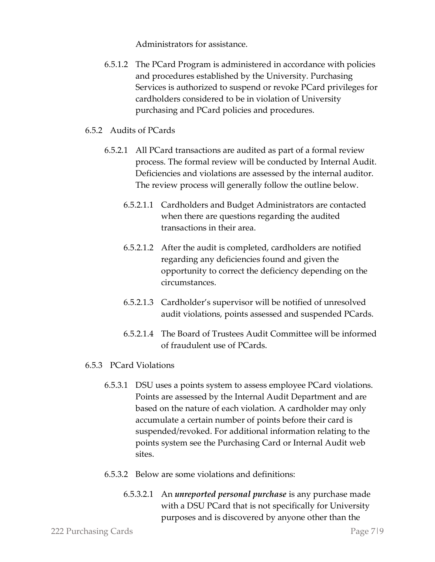Administrators for assistance.

6.5.1.2 The PCard Program is administered in accordance with policies and procedures established by the University. Purchasing Services is authorized to suspend or revoke PCard privileges for cardholders considered to be in violation of University purchasing and PCard policies and procedures.

#### 6.5.2 Audits of PCards

- 6.5.2.1 All PCard transactions are audited as part of a formal review process. The formal review will be conducted by Internal Audit. Deficiencies and violations are assessed by the internal auditor. The review process will generally follow the outline below.
	- 6.5.2.1.1 Cardholders and Budget Administrators are contacted when there are questions regarding the audited transactions in their area.
	- 6.5.2.1.2 After the audit is completed, cardholders are notified regarding any deficiencies found and given the opportunity to correct the deficiency depending on the circumstances.
	- 6.5.2.1.3 Cardholder's supervisor will be notified of unresolved audit violations, points assessed and suspended PCards.
	- 6.5.2.1.4 The Board of Trustees Audit Committee will be informed of fraudulent use of PCards.

#### 6.5.3 PCard Violations

- 6.5.3.1 DSU uses a points system to assess employee PCard violations. Points are assessed by the Internal Audit Department and are based on the nature of each violation. A cardholder may only accumulate a certain number of points before their card is suspended/revoked. For additional information relating to the points system see the Purchasing Card or Internal Audit web sites.
- 6.5.3.2 Below are some violations and definitions:
	- 6.5.3.2.1 An *unreported personal purchase* is any purchase made with a DSU PCard that is not specifically for University purposes and is discovered by anyone other than the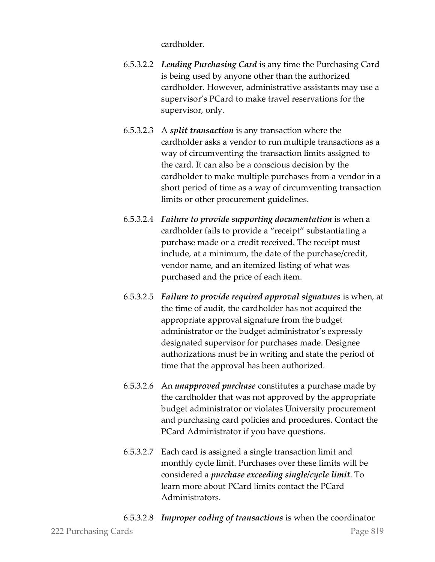cardholder.

- 6.5.3.2.2 *Lending Purchasing Card* is any time the Purchasing Card is being used by anyone other than the authorized cardholder. However, administrative assistants may use a supervisor's PCard to make travel reservations for the supervisor, only.
- 6.5.3.2.3 A *split transaction* is any transaction where the cardholder asks a vendor to run multiple transactions as a way of circumventing the transaction limits assigned to the card. It can also be a conscious decision by the cardholder to make multiple purchases from a vendor in a short period of time as a way of circumventing transaction limits or other procurement guidelines.
- 6.5.3.2.4 *Failure to provide supporting documentation* is when a cardholder fails to provide a "receipt" substantiating a purchase made or a credit received. The receipt must include, at a minimum, the date of the purchase/credit, vendor name, and an itemized listing of what was purchased and the price of each item.
- 6.5.3.2.5 *Failure to provide required approval signatures* is when, at the time of audit, the cardholder has not acquired the appropriate approval signature from the budget administrator or the budget administrator's expressly designated supervisor for purchases made. Designee authorizations must be in writing and state the period of time that the approval has been authorized.
- 6.5.3.2.6 An *unapproved purchase* constitutes a purchase made by the cardholder that was not approved by the appropriate budget administrator or violates University procurement and purchasing card policies and procedures. Contact the PCard Administrator if you have questions.
- 6.5.3.2.7 Each card is assigned a single transaction limit and monthly cycle limit. Purchases over these limits will be considered a *purchase exceeding single/cycle limit*. To learn more about PCard limits contact the PCard Administrators.
- 6.5.3.2.8 *Improper coding of transactions* is when the coordinator